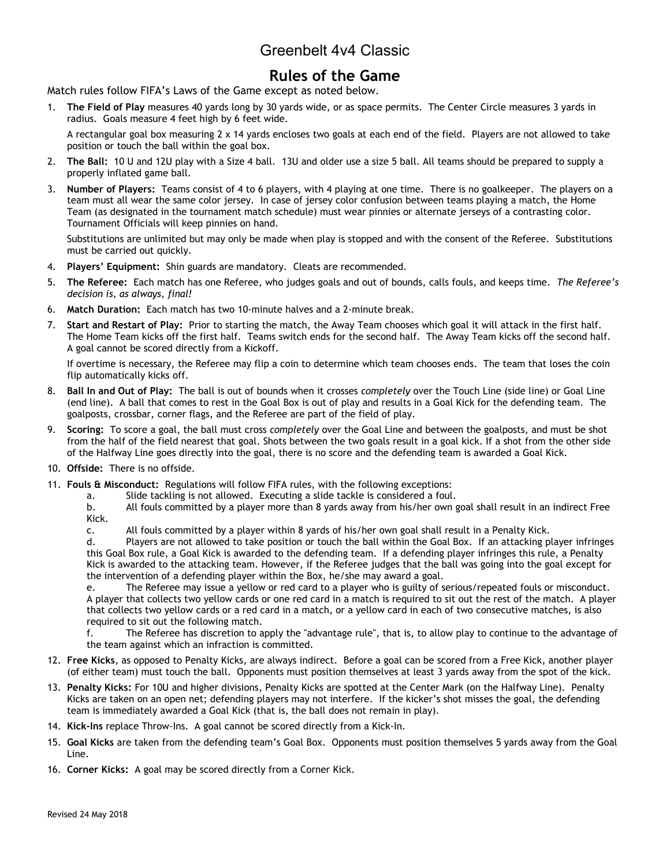# Greenbelt 4v4 Classic

### **Rules of the Game**

Match rules follow FIFA's Laws of the Game except as noted below.

1. **The Field of Play** measures 40 yards long by 30 yards wide, or as space permits. The Center Circle measures 3 yards in radius. Goals measure 4 feet high by 6 feet wide.

A rectangular goal box measuring 2 x 14 yards encloses two goals at each end of the field. Players are not allowed to take position or touch the ball within the goal box.

- 2. **The Ball:** 10 U and 12U play with a Size 4 ball. 13U and older use a size 5 ball. All teams should be prepared to supply a properly inflated game ball.
- 3. **Number of Players:** Teams consist of 4 to 6 players, with 4 playing at one time. There is no goalkeeper. The players on a team must all wear the same color jersey. In case of jersey color confusion between teams playing a match, the Home Team (as designated in the tournament match schedule) must wear pinnies or alternate jerseys of a contrasting color. Tournament Officials will keep pinnies on hand.

Substitutions are unlimited but may only be made when play is stopped and with the consent of the Referee. Substitutions must be carried out quickly.

- 4. **Players' Equipment:** Shin guards are mandatory. Cleats are recommended.
- 5. **The Referee:** Each match has one Referee, who judges goals and out of bounds, calls fouls, and keeps time. *The Referee's decision is, as always, final!*
- 6. **Match Duration:** Each match has two 10-minute halves and a 2-minute break.
- 7. **Start and Restart of Play:** Prior to starting the match, the Away Team chooses which goal it will attack in the first half. The Home Team kicks off the first half. Teams switch ends for the second half. The Away Team kicks off the second half. A goal cannot be scored directly from a Kickoff.

If overtime is necessary, the Referee may flip a coin to determine which team chooses ends. The team that loses the coin flip automatically kicks off.

- 8. **Ball In and Out of Play:** The ball is out of bounds when it crosses *completely* over the Touch Line (side line) or Goal Line (end line). A ball that comes to rest in the Goal Box is out of play and results in a Goal Kick for the defending team. The goalposts, crossbar, corner flags, and the Referee are part of the field of play.
- 9. **Scoring:** To score a goal, the ball must cross *completely* over the Goal Line and between the goalposts, and must be shot from the half of the field nearest that goal. Shots between the two goals result in a goal kick. If a shot from the other side of the Halfway Line goes directly into the goal, there is no score and the defending team is awarded a Goal Kick.
- 10. **Offside:** There is no offside.
- 11. **Fouls & Misconduct:** Regulations will follow FIFA rules, with the following exceptions:
	- a. Slide tackling is not allowed. Executing a slide tackle is considered a foul.
	- b. All fouls committed by a player more than 8 yards away from his/her own goal shall result in an indirect Free Kick.
	- c. All fouls committed by a player within 8 yards of his/her own goal shall result in a Penalty Kick.

d. Players are not allowed to take position or touch the ball within the Goal Box. If an attacking player infringes this Goal Box rule, a Goal Kick is awarded to the defending team. If a defending player infringes this rule, a Penalty Kick is awarded to the attacking team. However, if the Referee judges that the ball was going into the goal except for the intervention of a defending player within the Box, he/she may award a goal.

e. The Referee may issue a yellow or red card to a player who is guilty of serious/repeated fouls or misconduct. A player that collects two yellow cards or one red card in a match is required to sit out the rest of the match. A player that collects two yellow cards or a red card in a match, or a yellow card in each of two consecutive matches, is also required to sit out the following match.

f. The Referee has discretion to apply the "advantage rule", that is, to allow play to continue to the advantage of the team against which an infraction is committed.

- 12. **Free Kicks**, as opposed to Penalty Kicks, are always indirect. Before a goal can be scored from a Free Kick, another player (of either team) must touch the ball. Opponents must position themselves at least 3 yards away from the spot of the kick.
- 13. **Penalty Kicks:** For 10U and higher divisions, Penalty Kicks are spotted at the Center Mark (on the Halfway Line). Penalty Kicks are taken on an open net; defending players may not interfere. If the kicker's shot misses the goal, the defending team is immediately awarded a Goal Kick (that is, the ball does not remain in play).
- 14. **Kick-Ins** replace Throw-Ins. A goal cannot be scored directly from a Kick-In.
- 15. **Goal Kicks** are taken from the defending team's Goal Box. Opponents must position themselves 5 yards away from the Goal Line.
- 16. **Corner Kicks:** A goal may be scored directly from a Corner Kick.